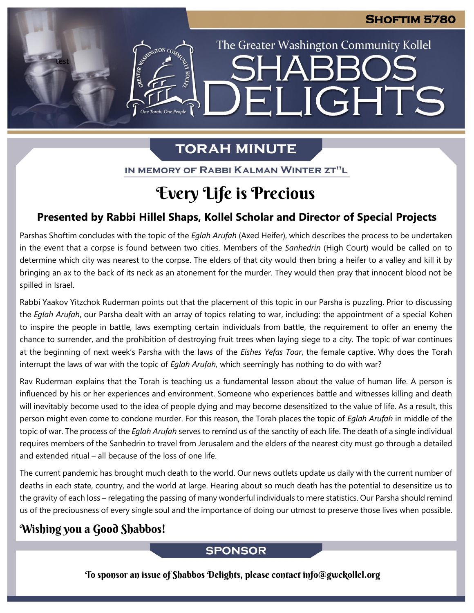The Greater Washington Community Kollel

ELIGHTS

# **TORAH MINUTE**

IN MEMORY OF RABBI KALMAN WINTER ZT"L

# Every Life is Precious

## **Presented by Rabbi Hillel Shaps, Kollel Scholar and Director of Special Projects**

Parshas Shoftim concludes with the topic of the *Eglah Arufah* (Axed Heifer), which describes the process to be undertaken in the event that a corpse is found between two cities. Members of the *Sanhedrin* (High Court) would be called on to determine which city was nearest to the corpse. The elders of that city would then bring a heifer to a valley and kill it by bringing an ax to the back of its neck as an atonement for the murder. They would then pray that innocent blood not be spilled in Israel.

Rabbi Yaakov Yitzchok Ruderman points out that the placement of this topic in our Parsha is puzzling. Prior to discussing the *Eglah Arufah*, our Parsha dealt with an array of topics relating to war, including: the appointment of a special Kohen to inspire the people in battle, laws exempting certain individuals from battle, the requirement to offer an enemy the chance to surrender, and the prohibition of destroying fruit trees when laying siege to a city. The topic of war continues at the beginning of next week's Parsha with the laws of the *Eishes Yefas Toar*, the female captive. Why does the Torah interrupt the laws of war with the topic of *Eglah Arufah,* which seemingly has nothing to do with war?

Rav Ruderman explains that the Torah is teaching us a fundamental lesson about the value of human life. A person is influenced by his or her experiences and environment. Someone who experiences battle and witnesses killing and death will inevitably become used to the idea of people dying and may become desensitized to the value of life. As a result, this person might even come to condone murder. For this reason, the Torah places the topic of *Eglah Arufah* in middle of the topic of war. The process of the *Eglah Arufah* serves to remind us of the sanctity of each life. The death of a single individual requires members of the Sanhedrin to travel from Jerusalem and the elders of the nearest city must go through a detailed and extended ritual – all because of the loss of one life.

The current pandemic has brought much death to the world. Our news outlets update us daily with the current number of deaths in each state, country, and the world at large. Hearing about so much death has the potential to desensitize us to the gravity of each loss – relegating the passing of many wonderful individuals to mere statistics. Our Parsha should remind us of the preciousness of every single soul and the importance of doing our utmost to preserve those lives when possible.

## Wishing you a Good Shabbos!

test

EMERGION CON

One Torah, One People

### **SPONSOR**

To sponsor an issue of Shabbos Delights, please contact info@gwckollel.org